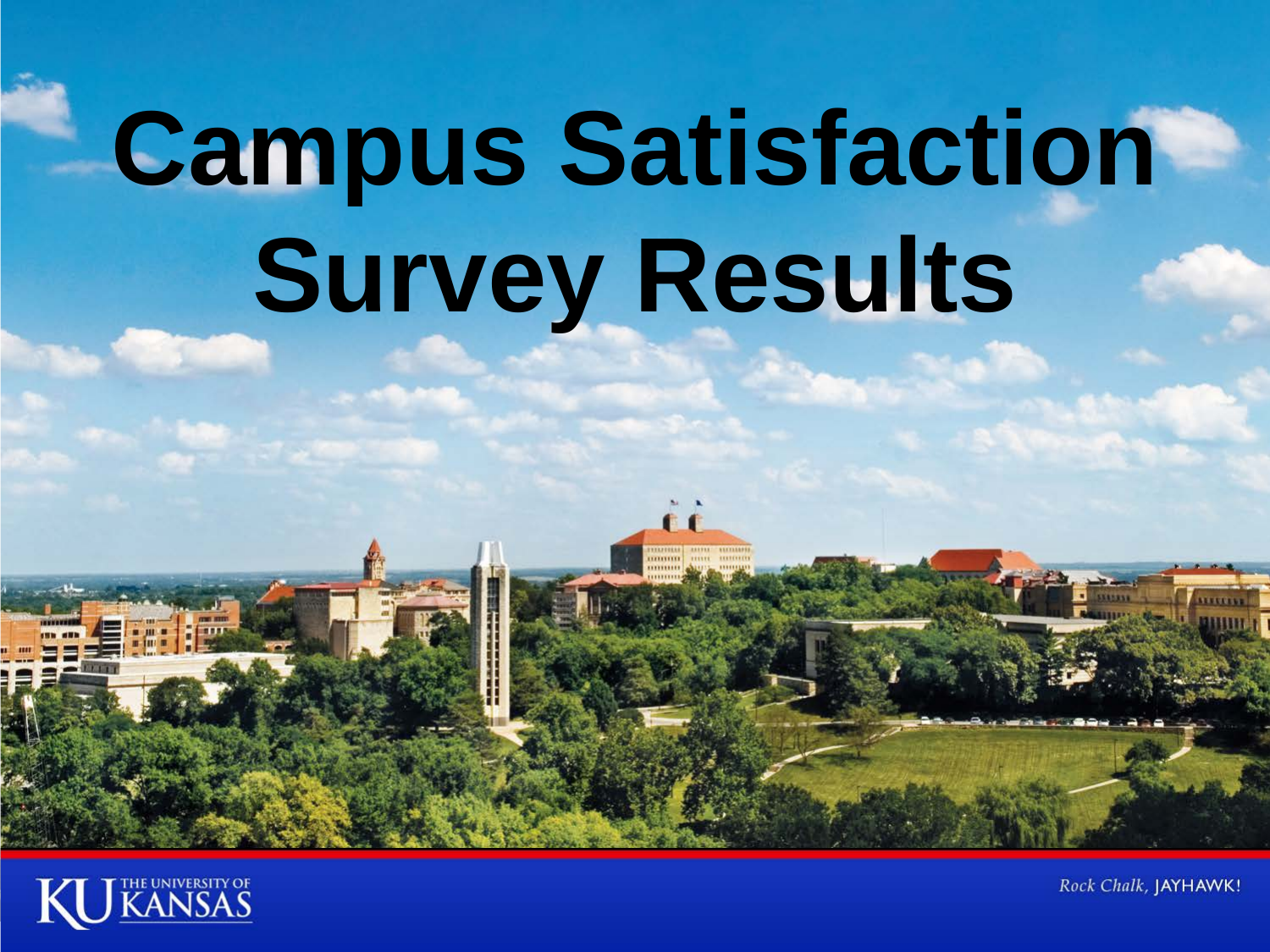# **Campus Satisfaction Survey Results**



Rock Chalk, JAYHAWK!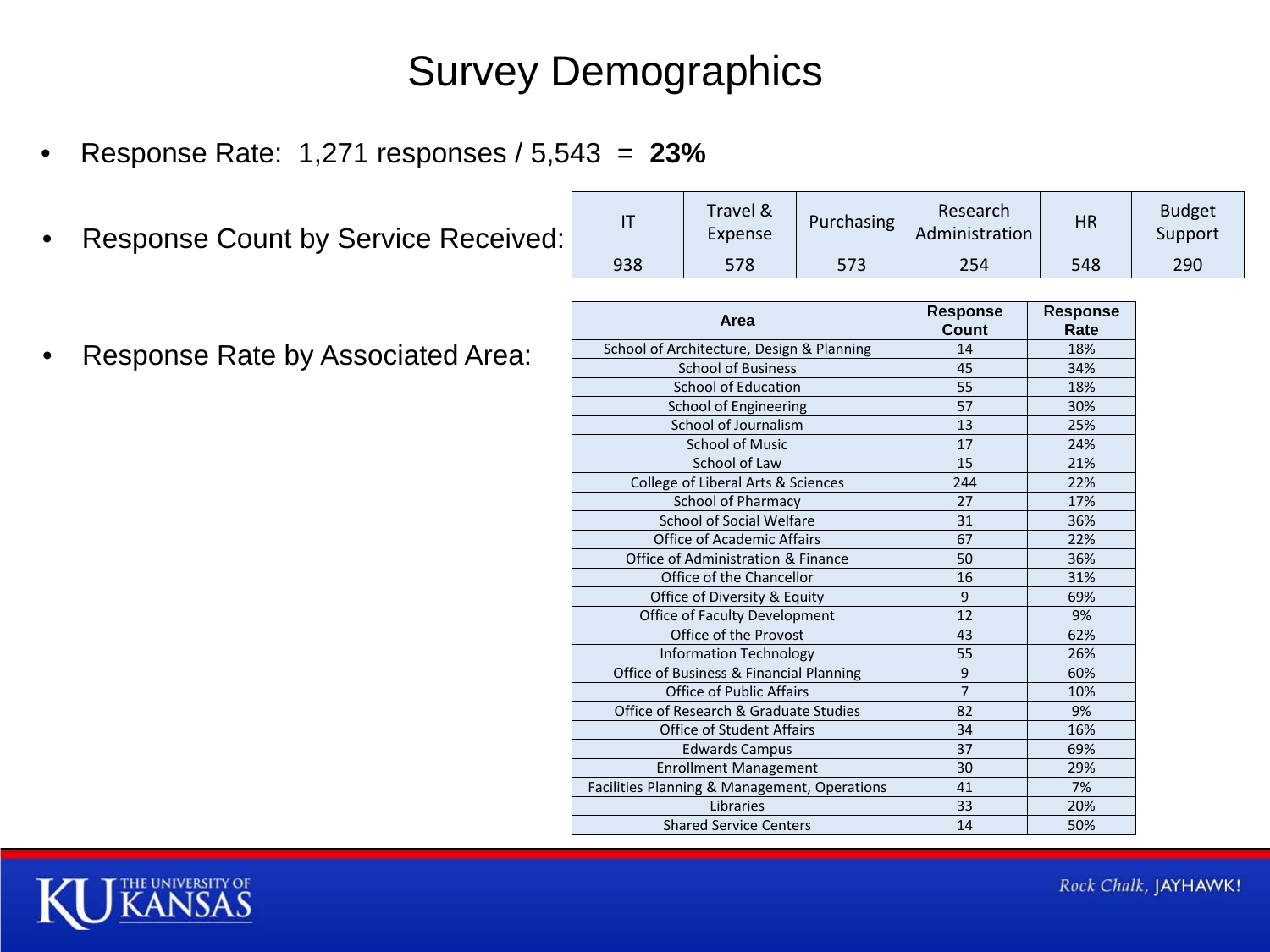# Survey Demographics

- Response Rate: 1,271 responses / 5,543 = **23%**
- Response Count by Service Received:

| • Response Rate by Associated Area: |  |
|-------------------------------------|--|
|                                     |  |

| . . |     | Travel &<br>Purchasing<br>Expense |     | Research<br>Administration | ΗR  | Budget<br>Support |  |
|-----|-----|-----------------------------------|-----|----------------------------|-----|-------------------|--|
|     | 938 | 578                               | 573 | 254                        | 548 | 290               |  |

| Area                                         | <b>Response</b><br>Count | <b>Response</b><br>Rate |
|----------------------------------------------|--------------------------|-------------------------|
| School of Architecture, Design & Planning    | 14                       | 18%                     |
| <b>School of Business</b>                    | 45                       | 34%                     |
| <b>School of Education</b>                   | 55                       | 18%                     |
| School of Engineering                        | 57                       | 30%                     |
| School of Journalism                         | 13                       | 25%                     |
| <b>School of Music</b>                       | 17                       | 24%                     |
| School of Law                                | 15                       | 21%                     |
| College of Liberal Arts & Sciences           | 244                      | 22%                     |
| <b>School of Pharmacy</b>                    | 27                       | 17%                     |
| <b>School of Social Welfare</b>              | 31                       | 36%                     |
| <b>Office of Academic Affairs</b>            | 67                       | 22%                     |
| Office of Administration & Finance           | 50                       | 36%                     |
| Office of the Chancellor                     | 16                       | 31%                     |
| Office of Diversity & Equity                 | 9                        | 69%                     |
| Office of Faculty Development                | 12                       | 9%                      |
| Office of the Provost                        | 43                       | 62%                     |
| Information Technology                       | 55                       | 26%                     |
| Office of Business & Financial Planning      | 9                        | 60%                     |
| <b>Office of Public Affairs</b>              | $\overline{7}$           | 10%                     |
| Office of Research & Graduate Studies        | 82                       | 9%                      |
| <b>Office of Student Affairs</b>             | 34                       | 16%                     |
| <b>Edwards Campus</b>                        | 37                       | 69%                     |
| <b>Enrollment Management</b>                 | 30                       | 29%                     |
| Facilities Planning & Management, Operations | 41                       | 7%                      |
| Libraries                                    | 33                       | 20%                     |
| <b>Shared Service Centers</b>                | 14                       | 50%                     |

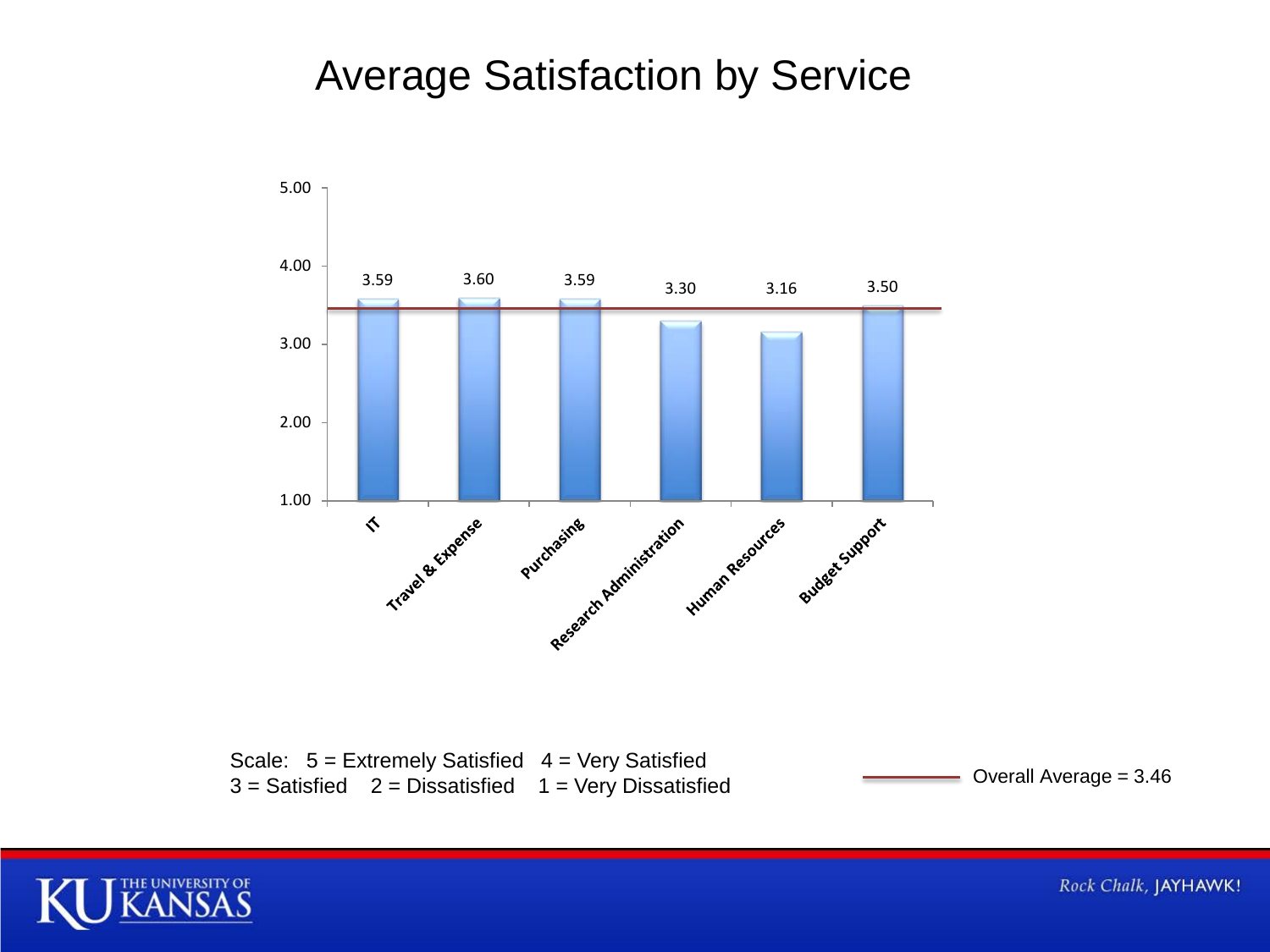### Average Satisfaction by Service



Scale:  $5 =$  Extremely Satisfied  $4 =$  Very Satisfied  $3 =$  Satisfied 2 = Dissatisfied 1 = Very Dissatisfied  $3 =$  Satisfied Overall Average = 3.46



Rock Chalk, JAYHAWK!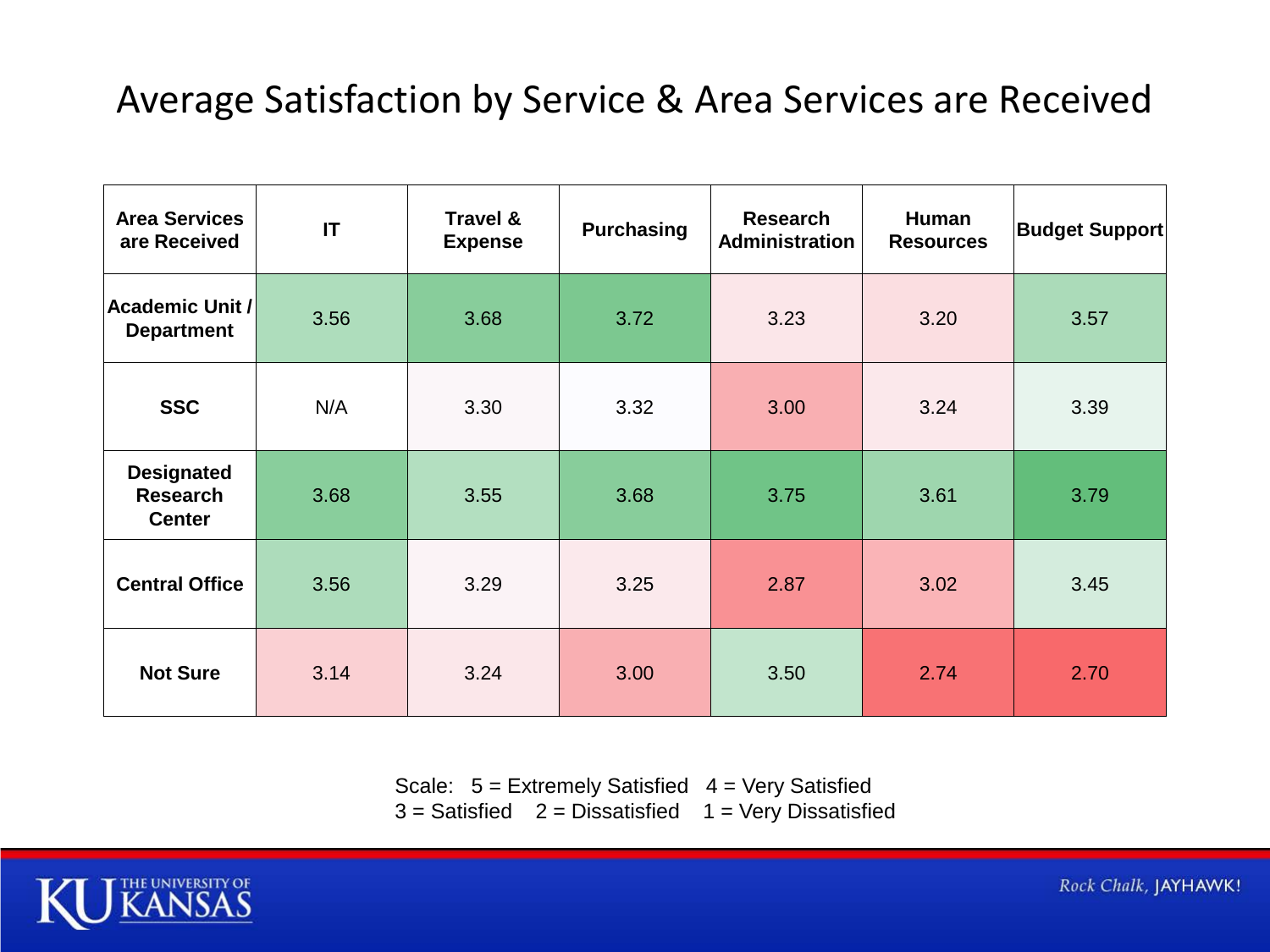#### Average Satisfaction by Service & Area Services are Received

| <b>Area Services</b><br>are Received                  | IT   | Travel &<br><b>Expense</b> | <b>Purchasing</b> | Research<br><b>Administration</b> | Human<br><b>Resources</b> | <b>Budget Support</b> |
|-------------------------------------------------------|------|----------------------------|-------------------|-----------------------------------|---------------------------|-----------------------|
| Academic Unit /<br><b>Department</b>                  | 3.56 | 3.68                       | 3.72              | 3.23                              | 3.20                      | 3.57                  |
| <b>SSC</b>                                            | N/A  | 3.30                       | 3.32              | 3.00                              | 3.24                      | 3.39                  |
| <b>Designated</b><br><b>Research</b><br><b>Center</b> | 3.68 | 3.55                       | 3.68              | 3.75                              | 3.61                      | 3.79                  |
| <b>Central Office</b>                                 | 3.56 | 3.29                       | 3.25              | 2.87                              | 3.02                      | 3.45                  |
| <b>Not Sure</b>                                       | 3.14 | 3.24                       | 3.00              | 3.50                              | 2.74                      | 2.70                  |

Scale:  $5 =$  Extremely Satisfied  $4 =$  Very Satisfied  $3 =$  Satisfied  $2 =$  Dissatisfied  $1 =$  Very Dissatisfied

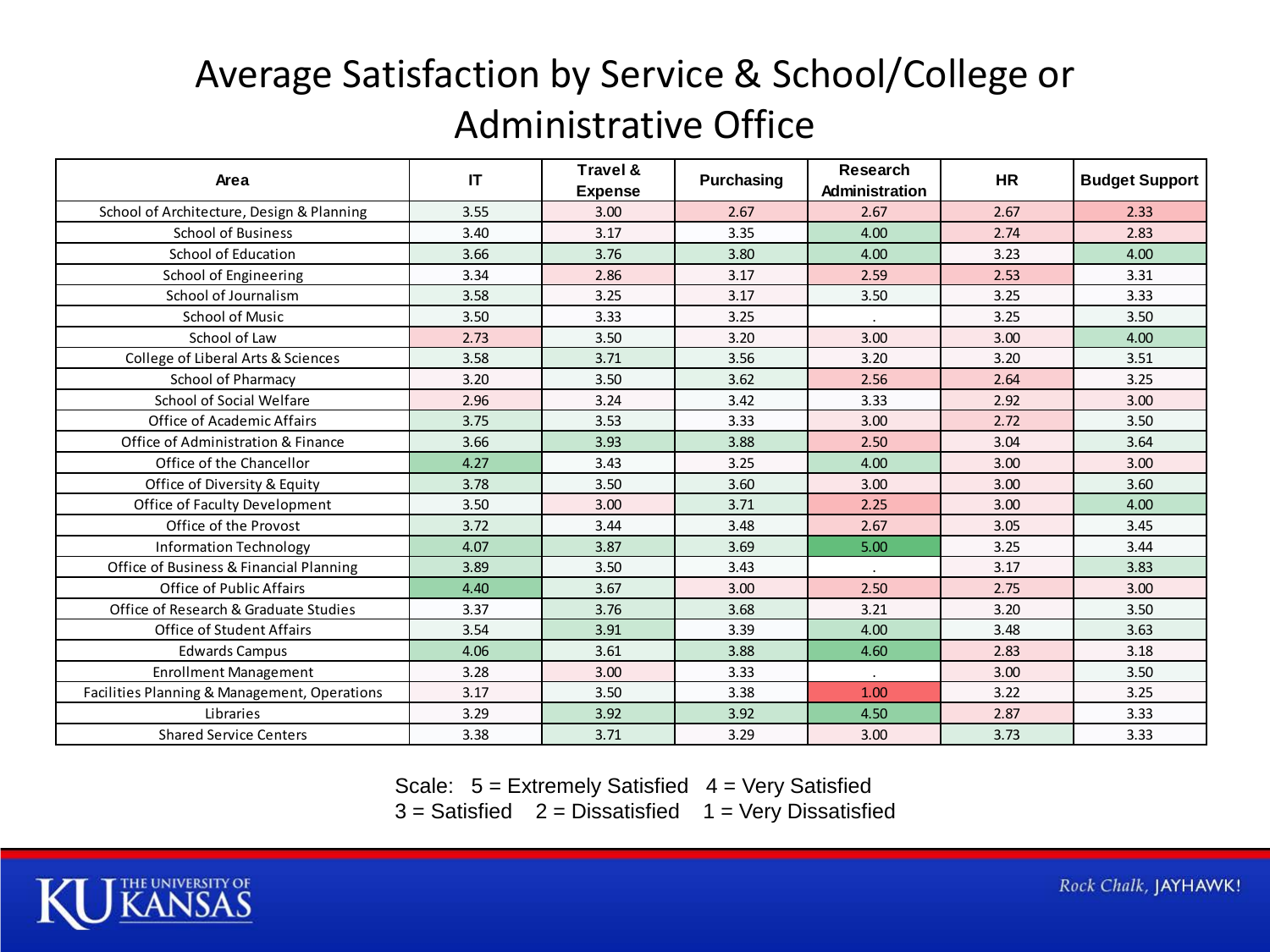# Average Satisfaction by Service & School/College or Administrative Office

| Area                                         | IT   | Travel &<br><b>Expense</b> | Purchasing | Research<br>Administration | <b>HR</b> | <b>Budget Support</b> |
|----------------------------------------------|------|----------------------------|------------|----------------------------|-----------|-----------------------|
| School of Architecture, Design & Planning    | 3.55 | 3.00                       | 2.67       | 2.67                       | 2.67      | 2.33                  |
| <b>School of Business</b>                    | 3.40 | 3.17                       | 3.35       | 4.00                       | 2.74      | 2.83                  |
| <b>School of Education</b>                   | 3.66 | 3.76                       | 3.80       | 4.00                       | 3.23      | 4.00                  |
| School of Engineering                        | 3.34 | 2.86                       | 3.17       | 2.59                       | 2.53      | 3.31                  |
| School of Journalism                         | 3.58 | 3.25                       | 3.17       | 3.50                       | 3.25      | 3.33                  |
| <b>School of Music</b>                       | 3.50 | 3.33                       | 3.25       |                            | 3.25      | 3.50                  |
| School of Law                                | 2.73 | 3.50                       | 3.20       | 3.00                       | 3.00      | 4.00                  |
| College of Liberal Arts & Sciences           | 3.58 | 3.71                       | 3.56       | 3.20                       | 3.20      | 3.51                  |
| <b>School of Pharmacy</b>                    | 3.20 | 3.50                       | 3.62       | 2.56                       | 2.64      | 3.25                  |
| School of Social Welfare                     | 2.96 | 3.24                       | 3.42       | 3.33                       | 2.92      | 3.00                  |
| <b>Office of Academic Affairs</b>            | 3.75 | 3.53                       | 3.33       | 3.00                       | 2.72      | 3.50                  |
| Office of Administration & Finance           | 3.66 | 3.93                       | 3.88       | 2.50                       | 3.04      | 3.64                  |
| Office of the Chancellor                     | 4.27 | 3.43                       | 3.25       | 4.00                       | 3.00      | 3.00                  |
| Office of Diversity & Equity                 | 3.78 | 3.50                       | 3.60       | 3.00                       | 3.00      | 3.60                  |
| Office of Faculty Development                | 3.50 | 3.00                       | 3.71       | 2.25                       | 3.00      | 4.00                  |
| Office of the Provost                        | 3.72 | 3.44                       | 3.48       | 2.67                       | 3.05      | 3.45                  |
| <b>Information Technology</b>                | 4.07 | 3.87                       | 3.69       | 5.00                       | 3.25      | 3.44                  |
| Office of Business & Financial Planning      | 3.89 | 3.50                       | 3.43       | $\sim$                     | 3.17      | 3.83                  |
| Office of Public Affairs                     | 4.40 | 3.67                       | 3.00       | 2.50                       | 2.75      | 3.00                  |
| Office of Research & Graduate Studies        | 3.37 | 3.76                       | 3.68       | 3.21                       | 3.20      | 3.50                  |
| <b>Office of Student Affairs</b>             | 3.54 | 3.91                       | 3.39       | 4.00                       | 3.48      | 3.63                  |
| <b>Edwards Campus</b>                        | 4.06 | 3.61                       | 3.88       | 4.60                       | 2.83      | 3.18                  |
| <b>Enrollment Management</b>                 | 3.28 | 3.00                       | 3.33       |                            | 3.00      | 3.50                  |
| Facilities Planning & Management, Operations | 3.17 | 3.50                       | 3.38       | 1.00                       | 3.22      | 3.25                  |
| Libraries                                    | 3.29 | 3.92                       | 3.92       | 4.50                       | 2.87      | 3.33                  |
| <b>Shared Service Centers</b>                | 3.38 | 3.71                       | 3.29       | 3.00                       | 3.73      | 3.33                  |

Scale:  $5 =$  Extremely Satisfied  $4 =$  Very Satisfied  $3 =$  Satisfied  $2 =$  Dissatisfied  $1 =$  Very Dissatisfied

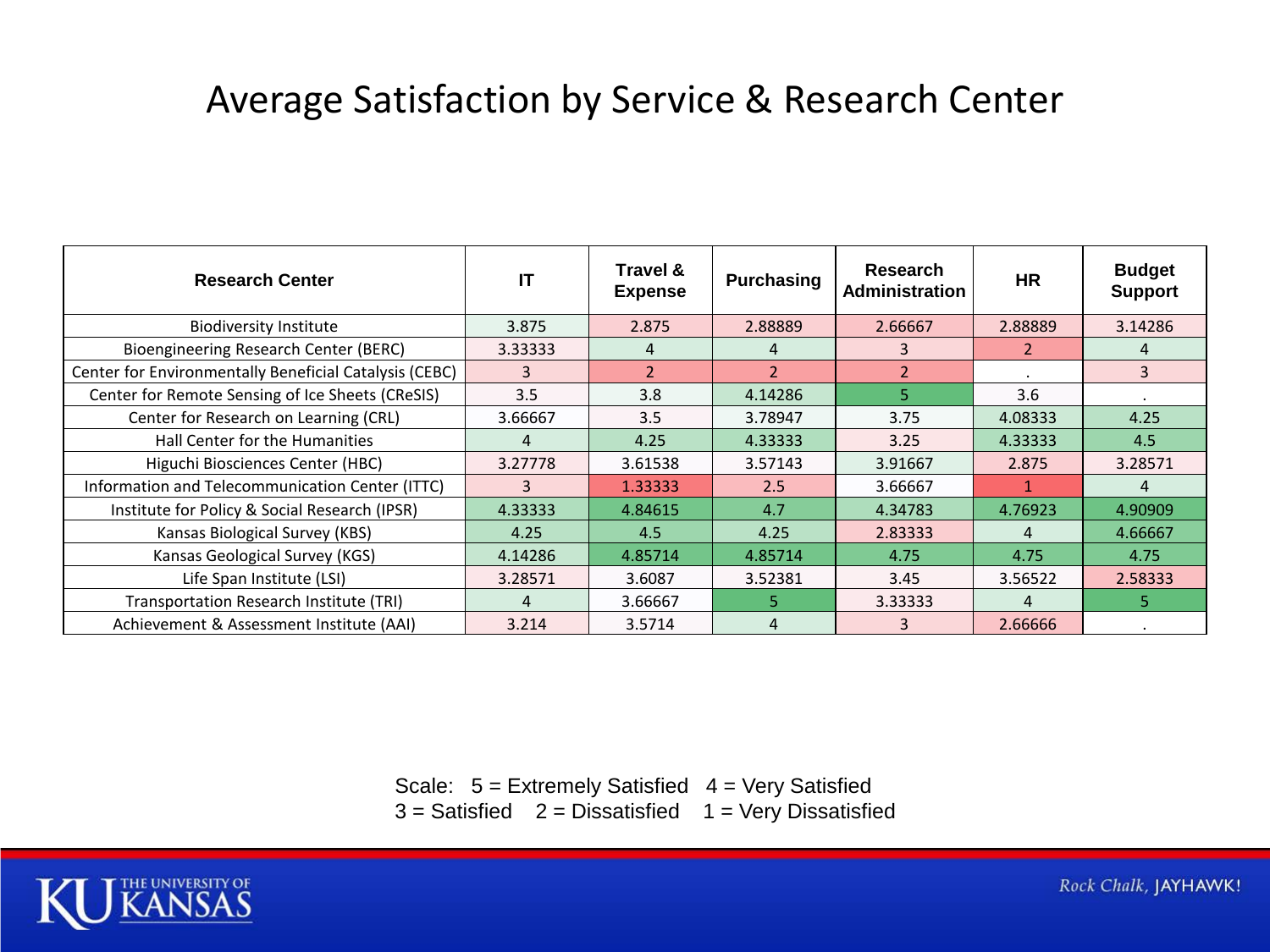#### Average Satisfaction by Service & Research Center

| <b>Research Center</b>                                 | IT      | Travel &<br><b>Expense</b> | <b>Purchasing</b> | <b>Research</b><br>Administration | <b>HR</b> | <b>Budget</b><br><b>Support</b> |
|--------------------------------------------------------|---------|----------------------------|-------------------|-----------------------------------|-----------|---------------------------------|
| <b>Biodiversity Institute</b>                          | 3.875   | 2.875                      | 2.88889           | 2.66667                           | 2.88889   | 3.14286                         |
| Bioengineering Research Center (BERC)                  | 3.33333 | 4                          | 4                 | 3                                 |           | 4                               |
| Center for Environmentally Beneficial Catalysis (CEBC) | 3       | $\overline{2}$             | $\overline{2}$    | $\overline{2}$                    |           | 3                               |
| Center for Remote Sensing of Ice Sheets (CReSIS)       | 3.5     | 3.8                        | 4.14286           | 5.                                | 3.6       |                                 |
| Center for Research on Learning (CRL)                  | 3.66667 | 3.5                        | 3.78947           | 3.75                              | 4.08333   | 4.25                            |
| Hall Center for the Humanities                         | 4       | 4.25                       | 4.33333           | 3.25                              | 4.33333   | 4.5                             |
| Higuchi Biosciences Center (HBC)                       | 3.27778 | 3.61538                    | 3.57143           | 3.91667                           | 2.875     | 3.28571                         |
| Information and Telecommunication Center (ITTC)        | 3       | 1.33333                    | 2.5               | 3.66667                           |           | 4                               |
| Institute for Policy & Social Research (IPSR)          | 4.33333 | 4.84615                    | 4.7               | 4.34783                           | 4.76923   | 4.90909                         |
| Kansas Biological Survey (KBS)                         | 4.25    | 4.5                        | 4.25              | 2.83333                           | 4         | 4.66667                         |
| Kansas Geological Survey (KGS)                         | 4.14286 | 4.85714                    | 4.85714           | 4.75                              | 4.75      | 4.75                            |
| Life Span Institute (LSI)                              | 3.28571 | 3.6087                     | 3.52381           | 3.45                              | 3.56522   | 2.58333                         |
| Transportation Research Institute (TRI)                | 4       | 3.66667                    | 5.                | 3.33333                           | 4         | 5                               |
| Achievement & Assessment Institute (AAI)               | 3.214   | 3.5714                     | 4                 |                                   | 2.66666   |                                 |

Scale:  $5 =$  Extremely Satisfied  $4 =$  Very Satisfied  $3 =$  Satisfied  $2 =$  Dissatisfied  $1 =$  Very Dissatisfied



Rock Chalk, JAYHAWK!